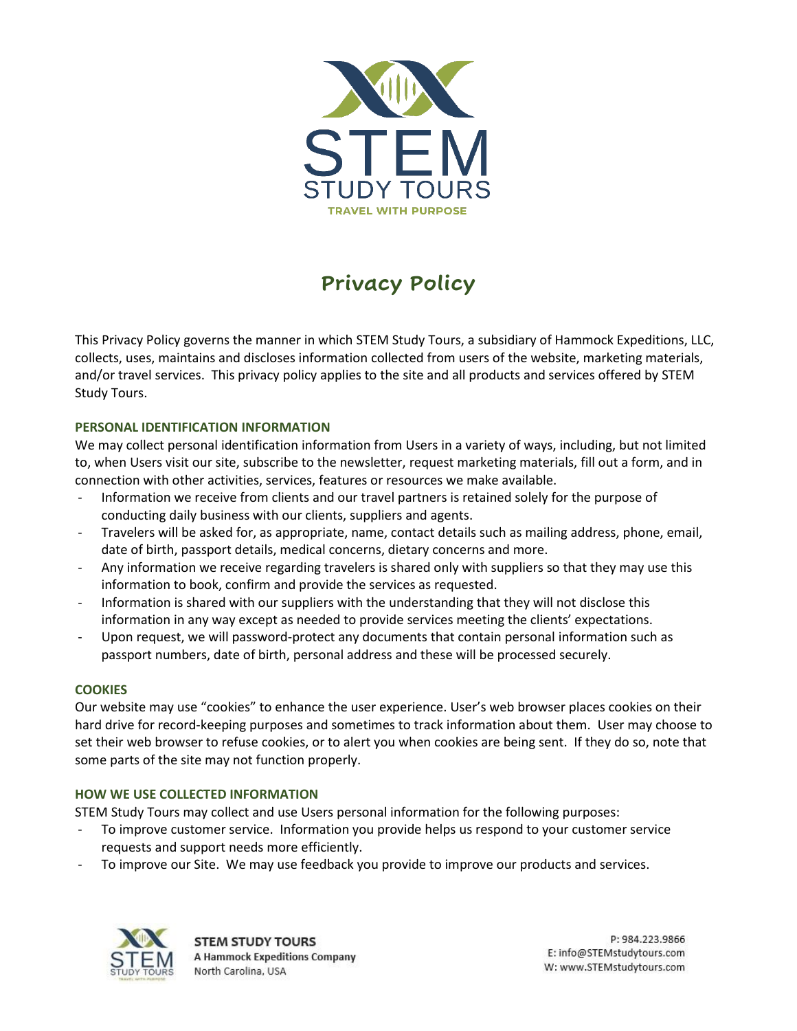

# **Privacy Policy**

This Privacy Policy governs the manner in which STEM Study Tours, a subsidiary of Hammock Expeditions, LLC, collects, uses, maintains and discloses information collected from users of the website, marketing materials, and/or travel services. This privacy policy applies to the site and all products and services offered by STEM Study Tours.

# **PERSONAL IDENTIFICATION INFORMATION**

We may collect personal identification information from Users in a variety of ways, including, but not limited to, when Users visit our site, subscribe to the newsletter, request marketing materials, fill out a form, and in connection with other activities, services, features or resources we make available.

- Information we receive from clients and our travel partners is retained solely for the purpose of conducting daily business with our clients, suppliers and agents.
- Travelers will be asked for, as appropriate, name, contact details such as mailing address, phone, email, date of birth, passport details, medical concerns, dietary concerns and more.
- Any information we receive regarding travelers is shared only with suppliers so that they may use this information to book, confirm and provide the services as requested.
- Information is shared with our suppliers with the understanding that they will not disclose this information in any way except as needed to provide services meeting the clients' expectations.
- Upon request, we will password-protect any documents that contain personal information such as passport numbers, date of birth, personal address and these will be processed securely.

## **COOKIES**

Our website may use "cookies" to enhance the user experience. User's web browser places cookies on their hard drive for record-keeping purposes and sometimes to track information about them. User may choose to set their web browser to refuse cookies, or to alert you when cookies are being sent. If they do so, note that some parts of the site may not function properly.

## **HOW WE USE COLLECTED INFORMATION**

STEM Study Tours may collect and use Users personal information for the following purposes:

- To improve customer service. Information you provide helps us respond to your customer service requests and support needs more efficiently.
- To improve our Site. We may use feedback you provide to improve our products and services.